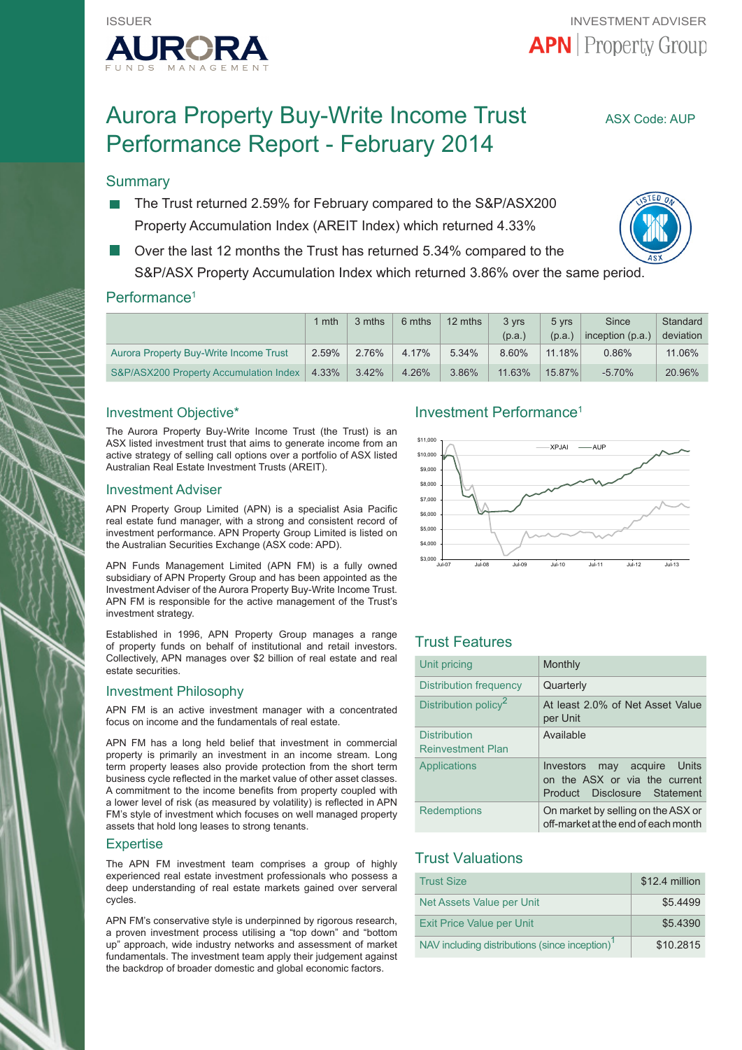

# Aurora Property Buy-Write Income Trust ASX Code: AUP Performance Report - February 2014

## **Summary**

- The Trust returned 2.59% for February compared to the S&P/ASX200 Property Accumulation Index (AREIT Index) which returned 4.33%
- Over the last 12 months the Trust has returned 5.34% compared to the S&P/ASX Property Accumulation Index which returned 3.86% over the same period.

## Performance<sup>1</sup>

|                                        | ∣ mth | 3 mths | 6 mths | 12 mths | 3 yrs<br>(p.a.) | 5 vrs<br>(p.a.) | Since<br>inception (p.a.) | Standard<br>deviation |
|----------------------------------------|-------|--------|--------|---------|-----------------|-----------------|---------------------------|-----------------------|
| Aurora Property Buy-Write Income Trust | 2.59% | 2.76%  | 4.17%  | 5.34%   | 8.60%           | 11.18%          | $0.86\%$                  | 11.06%                |
| S&P/ASX200 Property Accumulation Index | 4.33% | 3.42%  | 4.26%  | 3.86%   | 11.63%          | 15.87%          | $-5.70%$                  | 20.96%                |

## Investment Objective\*

The Aurora Property Buy-Write Income Trust (the Trust) is an ASX listed investment trust that aims to generate income from an active strategy of selling call options over a portfolio of ASX listed Australian Real Estate Investment Trusts (AREIT).

#### Investment Adviser

APN Property Group Limited (APN) is a specialist Asia Pacific real estate fund manager, with a strong and consistent record of investment performance. APN Property Group Limited is listed on the Australian Securities Exchange (ASX code: APD).

APN Funds Management Limited (APN FM) is a fully owned subsidiary of APN Property Group and has been appointed as the Investment Adviser of the Aurora Property Buy-Write Income Trust. APN FM is responsible for the active management of the Trust's investment strategy.

Established in 1996, APN Property Group manages a range of property funds on behalf of institutional and retail investors. Collectively, APN manages over \$2 billion of real estate and real estate securities.

#### Investment Philosophy

APN FM is an active investment manager with a concentrated focus on income and the fundamentals of real estate.

APN FM has a long held belief that investment in commercial property is primarily an investment in an income stream. Long term property leases also provide protection from the short term business cycle reflected in the market value of other asset classes. A commitment to the income benefits from property coupled with a lower level of risk (as measured by volatility) is reflected in APN FM's style of investment which focuses on well managed property assets that hold long leases to strong tenants.

#### **Expertise**

The APN FM investment team comprises a group of highly experienced real estate investment professionals who possess a deep understanding of real estate markets gained over serveral cycles.

APN FM's conservative style is underpinned by rigorous research, a proven investment process utilising a "top down" and "bottom up" approach, wide industry networks and assessment of market fundamentals. The investment team apply their judgement against the backdrop of broader domestic and global economic factors.

#### Investment Performance1



## Trust Features

| Unit pricing                                    | Monthly                                                                                         |
|-------------------------------------------------|-------------------------------------------------------------------------------------------------|
| Distribution frequency                          | Quarterly                                                                                       |
| Distribution policy <sup>2</sup>                | At least 2.0% of Net Asset Value<br>per Unit                                                    |
| <b>Distribution</b><br><b>Reinvestment Plan</b> | Available                                                                                       |
| Applications                                    | may acquire Units<br>Investors<br>on the ASX or via the current<br>Product Disclosure Statement |
| <b>Redemptions</b>                              | On market by selling on the ASX or<br>off-market at the end of each month                       |

## Trust Valuations

| <b>Trust Size</b>                                          | \$12.4 million |
|------------------------------------------------------------|----------------|
| Net Assets Value per Unit                                  | \$5.4499       |
| <b>Exit Price Value per Unit</b>                           | \$5.4390       |
| NAV including distributions (since inception) <sup>1</sup> | \$10,2815      |